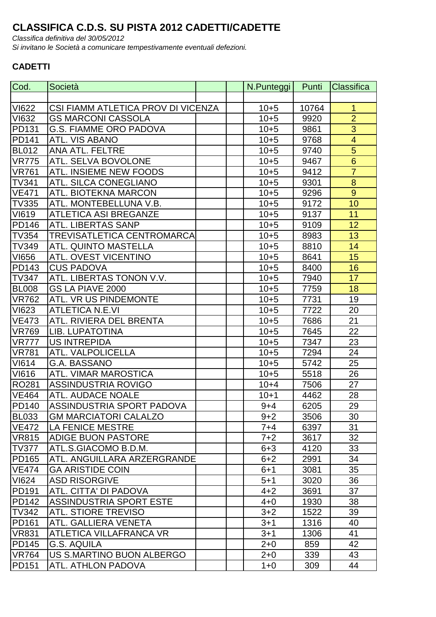## **CLASSIFICA C.D.S. SU PISTA 2012 CADETTI/CADETTE**

Classifica definitiva del 30/05/2012

Si invitano le Società a comunicare tempestivamente eventuali defezioni.

## **CADETTI**

| Cod.         | Società                            | N.Punteggi | Punti | Classifica      |
|--------------|------------------------------------|------------|-------|-----------------|
|              |                                    |            |       |                 |
| <b>VI622</b> | CSI FIAMM ATLETICA PROV DI VICENZA | $10 + 5$   | 10764 | $\mathbf 1$     |
| <b>VI632</b> | <b>GS MARCONI CASSOLA</b>          | $10 + 5$   | 9920  | $\overline{2}$  |
| <b>PD131</b> | <b>G.S. FIAMME ORO PADOVA</b>      | $10 + 5$   | 9861  | 3               |
| <b>PD141</b> | ATL. VIS ABANO                     | $10 + 5$   | 9768  | $\overline{4}$  |
| <b>BL012</b> | <b>ANA ATL. FELTRE</b>             | $10 + 5$   | 9740  | $\overline{5}$  |
| <b>VR775</b> | ATL. SELVA BOVOLONE                | $10 + 5$   | 9467  | $6\phantom{1}6$ |
| <b>VR761</b> | <b>ATL. INSIEME NEW FOODS</b>      | $10 + 5$   | 9412  | $\overline{7}$  |
| <b>TV341</b> | <b>ATL. SILCA CONEGLIANO</b>       | $10 + 5$   | 9301  | 8               |
| <b>VE471</b> | ATL. BIOTEKNA MARCON               | $10 + 5$   | 9296  | $\overline{9}$  |
| <b>TV335</b> | ATL. MONTEBELLUNA V.B.             | $10 + 5$   | 9172  | 10              |
| <b>VI619</b> | <b>ATLETICA ASI BREGANZE</b>       | $10 + 5$   | 9137  | 11              |
| <b>PD146</b> | <b>ATL. LIBERTAS SANP</b>          | $10 + 5$   | 9109  | 12              |
| <b>TV354</b> | TREVISATLETICA CENTROMARCA         | $10 + 5$   | 8983  | 13              |
| <b>TV349</b> | <b>ATL. QUINTO MASTELLA</b>        | $10 + 5$   | 8810  | 14              |
| <b>VI656</b> | ATL. OVEST VICENTINO               | $10 + 5$   | 8641  | 15              |
| <b>PD143</b> | <b>CUS PADOVA</b>                  | $10 + 5$   | 8400  | 16              |
| <b>TV347</b> | ATL. LIBERTAS TONON V.V.           | $10 + 5$   | 7940  | 17              |
| <b>BL008</b> | GS LA PIAVE 2000                   | $10 + 5$   | 7759  | 18              |
| <b>VR762</b> | ATL. VR US PINDEMONTE              | $10 + 5$   | 7731  | 19              |
| <b>VI623</b> | <b>ATLETICA N.E.VI</b>             | $10 + 5$   | 7722  | 20              |
| <b>VE473</b> | ATL, RIVIERA DEL BRENTA            | $10 + 5$   | 7686  | 21              |
| <b>VR769</b> | LIB. LUPATOTINA                    | $10 + 5$   | 7645  | 22              |
| <b>VR777</b> | <b>US INTREPIDA</b>                | $10 + 5$   | 7347  | 23              |
| <b>VR781</b> | ATL. VALPOLICELLA                  | $10 + 5$   | 7294  | 24              |
| <b>VI614</b> | <b>G.A. BASSANO</b>                | $10 + 5$   | 5742  | 25              |
| <b>VI616</b> | <b>ATL. VIMAR MAROSTICA</b>        | $10 + 5$   | 5518  | 26              |
| <b>RO281</b> | <b>ASSINDUSTRIA ROVIGO</b>         | $10 + 4$   | 7506  | 27              |
| <b>VE464</b> | <b>ATL. AUDACE NOALE</b>           | $10 + 1$   | 4462  | 28              |
| <b>PD140</b> | ASSINDUSTRIA SPORT PADOVA          | $9 + 4$    | 6205  | 29              |
| <b>BL033</b> | <b>GM MARCIATORI CALALZO</b>       | $9 + 2$    | 3506  | 30              |
| <b>VE472</b> | <b>LA FENICE MESTRE</b>            | 7+4        | 6397  | 31              |
| <b>VR815</b> | <b>ADIGE BUON PASTORE</b>          | $7+2$      | 3617  | 32              |
| <b>TV377</b> | ATL.S.GIACOMO B.D.M.               | $6 + 3$    | 4120  | 33              |
| <b>PD165</b> | ATL. ANGUILLARA ARZERGRANDE        | $6 + 2$    | 2991  | 34              |
| <b>VE474</b> | <b>GA ARISTIDE COIN</b>            | $6 + 1$    | 3081  | 35              |
| <b>VI624</b> | <b>ASD RISORGIVE</b>               | $5 + 1$    | 3020  | 36              |
| <b>PD191</b> | ATL. CITTA' DI PADOVA              | $4 + 2$    | 3691  | 37              |
| <b>PD142</b> | <b>ASSINDUSTRIA SPORT ESTE</b>     | $4 + 0$    | 1930  | 38              |
| TV342        | <b>ATL. STIORE TREVISO</b>         | $3 + 2$    | 1522  | 39              |
| <b>PD161</b> | ATL. GALLIERA VENETA               | $3 + 1$    | 1316  | 40              |
| <b>VR831</b> | ATLETICA VILLAFRANCA VR            | $3 + 1$    | 1306  | 41              |
| <b>PD145</b> | <b>G.S. AQUILA</b>                 | $2 + 0$    | 859   | 42              |
| <b>VR764</b> | US S.MARTINO BUON ALBERGO          | $2 + 0$    | 339   | 43              |
| <b>PD151</b> | ATL. ATHLON PADOVA                 | $1 + 0$    | 309   | 44              |